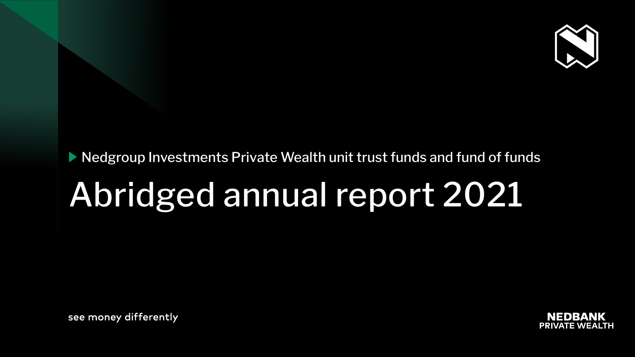# ▶ Nedgroup Investments Private Wealth unit trust funds and fund of funds

# Abridged annual report 2021

see money differently





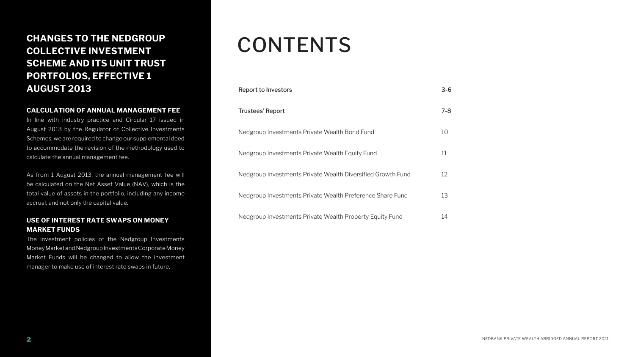## **CHANGES TO THE NEDGROUP COLLECTIVE INVESTMENT SCHEME AND ITS UNIT TRUST PORTFOLIOS, EFFECTIVE 1 AUGUST 2013**

### **CALCULATION OF ANNUAL MANAGEMENT FEE**

In line with industry practice and Circular 17 issued in August 2013 by the Regulator of Collective Investments Schemes, we are required to change our supplemental deed to accommodate the revision of the methodology used to calculate the annual management fee.

As from 1 August 2013, the annual management fee will be calculated on the Net Asset Value (NAV), which is the total value of assets in the portfolio, including any income accrual, and not only the capital value.

### **USE OF INTEREST RATE SWAPS ON MONEY MARKET FUNDS**

The investment policies of the Nedgroup Investments Money Market and Nedgroup Investments Corporate Money Market Funds will be changed to allow the investment manager to make use of interest rate swaps in future.

# CONTENTS

Report to Investors

Trustees' Report

Nedgroup Investments

Nedgroup Investments

Nedgroup Investments

Nedgroup Investments

Nedgroup Investments

|                                          | $3 - 6$ |
|------------------------------------------|---------|
|                                          | $7 - 8$ |
| s Private Wealth Bond Fund               | 10      |
| s Private Wealth Equity Fund             | 11      |
| s Private Wealth Diversified Growth Fund | 12      |
| s Private Wealth Preference Share Fund   | 13      |
| s Private Wealth Property Equity Fund    | 14      |

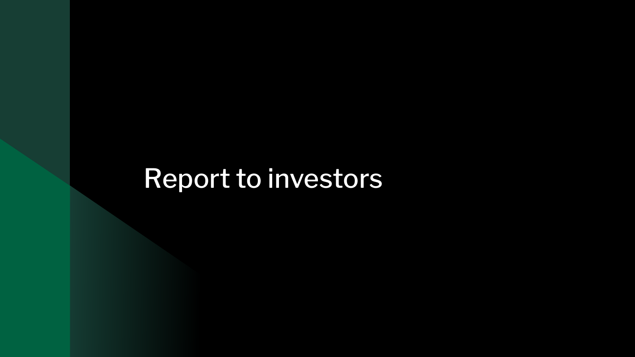# Report to investors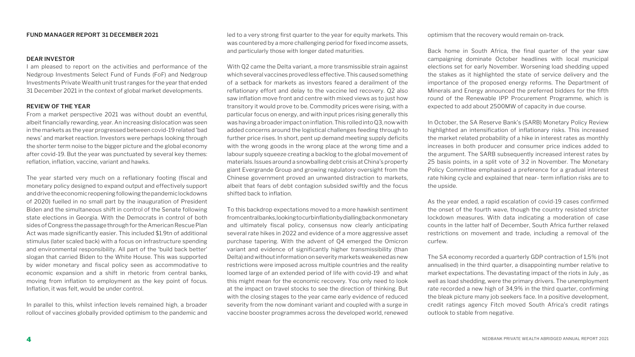### **FUND MANAGER REPORT 31 DECEMBER 2021**

### **DEAR INVESTOR**

I am pleased to report on the activities and performance of the Nedgroup Investments Select Fund of Funds (FoF) and Nedgroup Investments Private Wealth unit trust ranges for the year that ended 31 December 2021 in the context of global market developments.

### **REVIEW OF THE YEAR**

From a market perspective 2021 was without doubt an eventful, albeit financially rewarding, year. An increasing dislocation was seen in the markets as the year progressed between covid-19 related 'bad news' and market reaction. Investors were perhaps looking through the shorter term noise to the bigger picture and the global economy after covid-19. But the year was punctuated by several key themes: reflation, inflation, vaccine, variant and hawks.

The year started very much on a reflationary footing (fiscal and monetary policy designed to expand output and effectively support and drive the economic reopening following the pandemic lockdowns of 2020) fuelled in no small part by the inauguration of President Biden and the simultaneous shift in control of the Senate following state elections in Georgia. With the Democrats in control of both sides of Congress the passage through for the American Rescue Plan Act was made significantly easier. This included \$1.9tn of additional stimulus (later scaled back) with a focus on infrastructure spending and environmental responsibility. All part of the 'build back better' slogan that carried Biden to the White House. This was supported by wider monetary and fiscal policy seen as accommodative to economic expansion and a shift in rhetoric from central banks, moving from inflation to employment as the key point of focus. Inflation, it was felt, would be under control.

In parallel to this, whilst infection levels remained high, a broader rollout of vaccines globally provided optimism to the pandemic and

led to a very strong first quarter to the year for equity markets. This was countered by a more challenging period for fixed income assets, and particularly those with longer dated maturities.

With Q2 came the Delta variant, a more transmissible strain against which several vaccines proved less effective. This caused something of a setback for markets as investors feared a derailment of the reflationary effort and delay to the vaccine led recovery. Q2 also saw inflation move front and centre with mixed views as to just how transitory it would prove to be. Commodity prices were rising, with a particular focus on energy, and with input prices rising generally this was having a broader impact on inflation. This rolled into Q3, now with added concerns around the logistical challenges feeding through to further price rises. In short, pent up demand meeting supply deficits with the wrong goods in the wrong place at the wrong time and a labour supply squeeze creating a backlog to the global movement of materials. Issues around a snowballing debt crisis at China's property giant Evergrande Group and growing regulatory oversight from the Chinese government proved an unwanted distraction to markets, albeit that fears of debt contagion subsided swiftly and the focus shifted back to inflation.

To this backdrop expectations moved to a more hawkish sentiment from central banks, looking to curb inflation by dialling back on monetary and ultimately fiscal policy, consensus now clearly anticipating several rate hikes in 2022 and evidence of a more aggressive asset purchase tapering. With the advent of Q4 emerged the Omicron variant and evidence of significantly higher transmissibility (than Delta) and without information on severity markets weakened as new restrictions were imposed across multiple countries and the reality loomed large of an extended period of life with covid-19 and what this might mean for the economic recovery. You only need to look at the impact on travel stocks to see the direction of thinking. But with the closing stages to the year came early evidence of reduced severity from the now dominant variant and coupled with a surge in vaccine booster programmes across the developed world, renewed

optimism that the recovery would remain on-track.

Back home in South Africa, the final quarter of the year saw campaigning dominate October headlines with local municipal elections set for early November. Worsening load shedding upped the stakes as it highlighted the state of service delivery and the importance of the proposed energy reforms. The Department of Minerals and Energy announced the preferred bidders for the fifth round of the Renewable IPP Procurement Programme, which is expected to add about 2500MW of capacity in due course.

In October, the SA Reserve Bank's (SARB) Monetary Policy Review highlighted an intensification of inflationary risks. This increased the market related probability of a hike in interest rates as monthly increases in both producer and consumer price indices added to the argument. The SARB subsequently increased interest rates by 25 basis points, in a split vote of 3:2 in November. The Monetary Policy Committee emphasised a preference for a gradual interest rate hiking cycle and explained that near- term inflation risks are to the upside.

As the year ended, a rapid escalation of covid-19 cases confirmed the onset of the fourth wave, though the country resisted stricter lockdown measures. With data indicating a moderation of case counts in the latter half of December, South Africa further relaxed restrictions on movement and trade, including a removal of the curfew.

The SA economy recorded a quarterly GDP contraction of 1,5% (not annualised) in the third quarter, a disappointing number relative to market expectations. The devastating impact of the riots in July , as well as load shedding, were the primary drivers. The unemployment rate recorded a new high of 34,9% in the third quarter, confirming the bleak picture many job seekers face. In a positive development, credit ratings agency Fitch moved South Africa's credit ratings outlook to stable from negative.

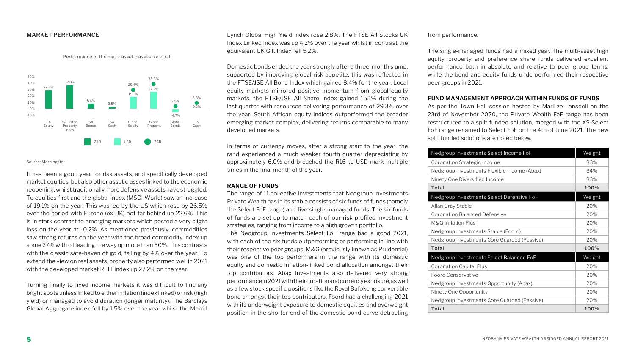### **MARKET PERFORMANCE**

Performance of the major asset classes for 2021

Source: Morningstar

It has been a good year for risk assets, and specifically developed market equities, but also other asset classes linked to the economic reopening, whilst traditionally more defensive assets have struggled. To equities first and the global index (MSCI World) saw an increase of 19.1% on the year. This was led by the US which rose by 26.5% over the period with Europe (ex UK) not far behind up 22.6%. This is in stark contrast to emerging markets which posted a very slight loss on the year at -0.2%. As mentioned previously, commodities saw strong returns on the year with the broad commodity index up some 27% with oil leading the way up more than 60%. This contrasts with the classic safe-haven of gold, falling by 4% over the year. To extend the view on real assets, property also performed well in 2021 with the developed market REIT index up 27.2% on the year.

Turning finally to fixed income markets it was difficult to find any bright spots unless linked to either inflation (index linked) or risk (high yield) or managed to avoid duration (longer maturity). The Barclays Global Aggregate index fell by 1.5% over the year whilst the Merrill

Lynch Global High Yield index rose 2.8%. The FTSE All Stocks UK Index Linked Index was up 4.2% over the year whilst in contrast the equivalent UK Gilt Index fell 5.2%.

Domestic bonds ended the year strongly after a three-month slump, supported by improving global risk appetite, this was reflected in the FTSE/JSE All Bond Index which gained 8.4% for the year. Local equity markets mirrored positive momentum from global equity markets, the FTSE/JSE All Share Index gained 15.1% during the last quarter with resources delivering performance of 29.3% over the year. South African equity indices outperformed the broader emerging market complex, delivering returns comparable to many developed markets.

In terms of currency moves, after a strong start to the year, the rand experienced a much weaker fourth quarter depreciating by approximately 6,0% and breached the R16 to USD mark multiple times in the final month of the year.

### **RANGE OF FUNDS**

The range of 11 collective investments that Nedgroup Investments Private Wealth has in its stable consists of six funds of funds (namely the Select FoF range) and five single-managed funds. The six funds of funds are set up to match each of our risk profiled investment strategies, ranging from income to a high growth portfolio. The Nedgroup Investments Select FoF range had a good 2021, with each of the six funds outperforming or performing in line with their respective peer groups. M&G (previously known as Prudential) was one of the top performers in the range with its domestic equity and domestic inflation-linked bond allocation amongst their top contributors. Abax Investments also delivered very strong performance in 2021 with their duration and currency exposure, as well as a few stock specific positions like the Royal Bafokeng convertible bond amongst their top contributors. Foord had a challenging 2021 with its underweight exposure to domestic equities and overweight position in the shorter end of the domestic bond curve detracting from performance.

The single-managed funds had a mixed year. The multi-asset high equity, property and preference share funds delivered excellent performance both in absolute and relative to peer group terms, while the bond and equity funds underperformed their respective peer groups in 2021.

### **FUND MANAGEMENT APPROACH WITHIN FUNDS OF FUNDS**

As per the Town Hall session hosted by Marilize Lansdell on the 23rd of November 2020, the Private Wealth FoF range has been restructured to a split funded solution, merged with the XS Select FoF range renamed to Select FoF on the 4th of June 2021. The new split funded solutions are noted below.

| Nedgroup Investments Select Income FoF      | Weight |
|---------------------------------------------|--------|
| Coronation Strategic Income                 | 33%    |
| Nedgroup Investments Flexible Income (Abax) | 34%    |
| Ninety One Diversified Income               | 33%    |
| <b>Total</b>                                | 100%   |
| Nedgroup Investments Select Defensive FoF   | Weight |
| Allan Gray Stable                           | 20%    |
| <b>Coronation Balanced Defensive</b>        | 20%    |
| <b>M&amp;G Inflation Plus</b>               | 20%    |
| Nedgroup Investments Stable (Foord)         | 20%    |
| Nedgroup Investments Core Guarded (Passive) | 20%    |
| Total                                       | 100%   |
| Nedgroup Investments Select Balanced FoF    | Weight |
| <b>Coronation Capital Plus</b>              | 20%    |
| <b>Foord Conservative</b>                   | 20%    |
| Nedgroup Investments Opportunity (Abax)     | 20%    |
| Ninety One Opportunity                      | 20%    |
| Nedgroup Investments Core Guarded (Passive) | 20%    |
| Total                                       | 100%   |



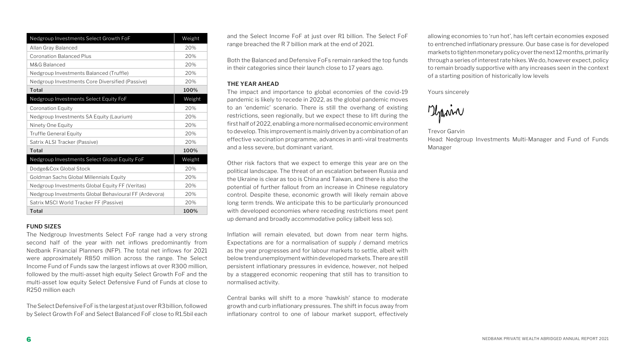### **FUND SIZES**

The Nedgroup Investments Select FoF range had a very strong second half of the year with net inflows predominantly from Nedbank Financial Planners (NFP). The total net inflows for 2021 were approximately R850 million across the range. The Select Income Fund of Funds saw the largest inflows at over R300 million, followed by the multi-asset high equity Select Growth FoF and the multi-asset low equity Select Defensive Fund of Funds at close to R250 million each

The Select Defensive FoF is the largest at just over R3 billion, followed by Select Growth FoF and Select Balanced FoF close to R1.5bil each and the Select Income FoF at just over R1 billion. The Select FoF range breached the R 7 billion mark at the end of 2021.

Both the Balanced and Defensive FoFs remain ranked the top funds in their categories since their launch close to 17 years ago.

### **THE YEAR AHEAD**

The impact and importance to global economies of the covid-19 pandemic is likely to recede in 2022, as the global pandemic moves to an 'endemic' scenario. There is still the overhang of existing restrictions, seen regionally, but we expect these to lift during the first half of 2022, enabling a more normalised economic environment to develop. This improvement is mainly driven by a combination of an effective vaccination programme, advances in anti-viral treatments and a less severe, but dominant variant.

Other risk factors that we expect to emerge this year are on the political landscape. The threat of an escalation between Russia and the Ukraine is clear as too is China and Taiwan, and there is also the potential of further fallout from an increase in Chinese regulatory control. Despite these, economic growth will likely remain above long term trends. We anticipate this to be particularly pronounced with developed economies where receding restrictions meet pent up demand and broadly accommodative policy (albeit less so).

Inflation will remain elevated, but down from near term highs. Expectations are for a normalisation of supply / demand metrics as the year progresses and for labour markets to settle, albeit with below trend unemployment within developed markets. There are still persistent inflationary pressures in evidence, however, not helped by a staggered economic reopening that still has to transition to normalised activity.

Central banks will shift to a more 'hawkish' stance to moderate growth and curb inflationary pressures. The shift in focus away from inflationary control to one of labour market support, effectively allowing economies to 'run hot', has left certain economies exposed to entrenched inflationary pressure. Our base case is for developed markets to tighten monetary policy over the next 12 months, primarily through a series of interest rate hikes. We do, however expect, policy to remain broadly supportive with any increases seen in the context of a starting position of historically low levels

Yours sincerely

Marin

Trevor Garvin Head: Nedgroup Investments Multi-Manager and Fund of Funds Manager

| Nedgroup Investments Select Growth FoF                | Weight |
|-------------------------------------------------------|--------|
| Allan Gray Balanced                                   | 20%    |
| <b>Coronation Balanced Plus</b>                       | 20%    |
| M&G Balanced                                          | 20%    |
| Nedgroup Investments Balanced (Truffle)               | 20%    |
| Nedgroup Investments Core Diversified (Passive)       | 20%    |
| <b>Total</b>                                          | 100%   |
| Nedgroup Investments Select Equity FoF                | Weight |
| <b>Coronation Equity</b>                              | 20%    |
| Nedgroup Investments SA Equity (Laurium)              | 20%    |
| Ninety One Equity                                     | 20%    |
| <b>Truffle General Equity</b>                         | 20%    |
| Satrix ALSI Tracker (Passive)                         | 20%    |
| Total                                                 | 100%   |
| Nedgroup Investments Select Global Equity FoF         | Weight |
| Dodge&Cox Global Stock                                | 20%    |
| Goldman Sachs Global Millennials Equity               | 20%    |
| Nedgroup Investments Global Equity FF (Veritas)       | 20%    |
| Nedgroup Investments Global Behavioural FF (Ardevora) | 20%    |
| Satrix MSCI World Tracker FF (Passive)                | 20%    |
| <b>Total</b>                                          | 100%   |

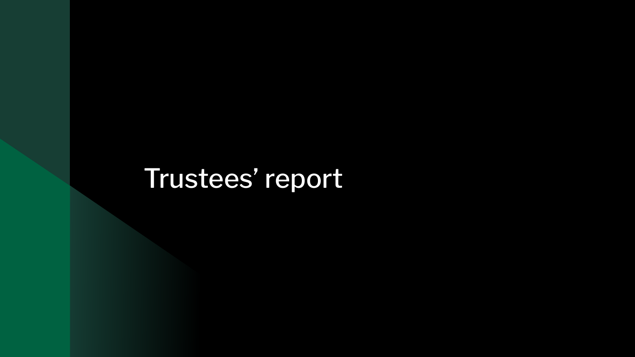# Trustees' report

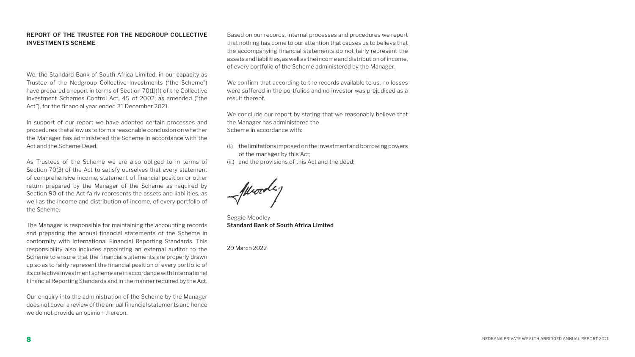### **REPORT OF THE TRUSTEE FOR THE NEDGROUP COLLECTIVE INVESTMENTS SCHEME**

We, the Standard Bank of South Africa Limited, in our capacity as Trustee of the Nedgroup Collective Investments ("the Scheme") have prepared a report in terms of Section 70(1)(f) of the Collective Investment Schemes Control Act, 45 of 2002, as amended ("the Act"), for the financial year ended 31 December 2021.

In support of our report we have adopted certain processes and procedures that allow us to form a reasonable conclusion on whether the Manager has administered the Scheme in accordance with the Act and the Scheme Deed.

As Trustees of the Scheme we are also obliged to in terms of Section 70(3) of the Act to satisfy ourselves that every statement of comprehensive income, statement of financial position or other return prepared by the Manager of the Scheme as required by Section 90 of the Act fairly represents the assets and liabilities, as well as the income and distribution of income, of every portfolio of the Scheme.

The Manager is responsible for maintaining the accounting records and preparing the annual financial statements of the Scheme in conformity with International Financial Reporting Standards. This responsibility also includes appointing an external auditor to the Scheme to ensure that the financial statements are properly drawn up so as to fairly represent the financial position of every portfolio of its collective investment scheme are in accordance with International Financial Reporting Standards and in the manner required by the Act.

Our enquiry into the administration of the Scheme by the Manager does not cover a review of the annual financial statements and hence we do not provide an opinion thereon.

Based on our records, internal processes and procedures we report that nothing has come to our attention that causes us to believe that the accompanying financial statements do not fairly represent the assets and liabilities, as well as the income and distribution of income, of every portfolio of the Scheme administered by the Manager.

We confirm that according to the records available to us, no losses were suffered in the portfolios and no investor was prejudiced as a result thereof.

We conclude our report by stating that we reasonably believe that the Manager has administered the Scheme in accordance with:

(i.) the limitations imposed on the investment and borrowing powers

- of the manager by this Act;
- (ii.) and the provisions of this Act and the deed;

Seggie Moodley **Standard Bank of South Africa Limited**

29 March 2022

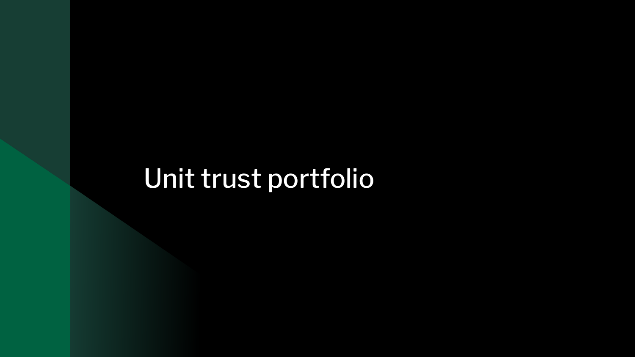# Unit trust portfolio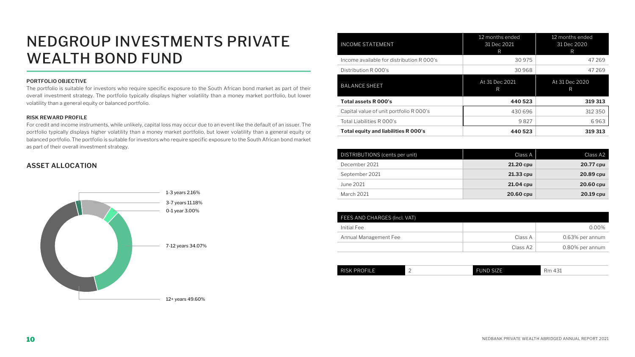# NEDGROUP INVESTMENTS PRIVATE WEALTH BOND FUND

### **PORTFOLIO OBJECTIVE**

The portfolio is suitable for investors who require specific exposure to the South African bond market as part of their overall investment strategy. The portfolio typically displays higher volatility than a money market portfolio, but lower volatility than a general equity or balanced portfolio.

#### **RISK REWARD PROFILE**

For credit and income instruments, while unlikely, capital loss may occur due to an event like the default of an issuer. The portfolio typically displays higher volatility than a money market portfolio, but lower volatility than a general equity or balanced portfolio. The portfolio is suitable for investors who require specific exposure to the South African bond market as part of their overall investment strategy.

| <b>INCOME STATEMENT</b>                     | 12 months ended<br>31 Dec 2021<br>R | 12 months ended<br>31 Dec 2020<br>R |
|---------------------------------------------|-------------------------------------|-------------------------------------|
| Income available for distribution R 000's   | 30 975                              | 47269                               |
| Distribution R 000's                        | 30 968                              | 47269                               |
| <b>BALANCE SHEET</b>                        | At 31 Dec 2021<br>R                 | At 31 Dec 2020<br>R                 |
| Total assets R 000's                        | 440 523                             | 319 313                             |
| Capital value of unit portfolio R 000's     | 430 696                             | 312 350                             |
| Total Liabilities R 000's                   | 9827                                | 6963                                |
| <b>Total equity and liabilities R 000's</b> | 440 523                             | 319 313                             |

| DISTRIBUTIONS (cents per unit) | Class A   | Class A2  |
|--------------------------------|-----------|-----------|
| December 2021                  | 21.20 cpu | 20.77 cpu |
| September 2021                 | 21.33 cpu | 20.89 cpu |
| June 2021                      | 21.04 cpu | 20.60 cpu |
| March 2021                     | 20.60 cpu | 20.19 cpu |

| FEES AND CHARGES (Incl. VAT) |          |                 |
|------------------------------|----------|-----------------|
| Initial Fee                  |          | $0.00\%$        |
| Annual Management Fee        | Class A  | 0.63% per annum |
|                              | Class A2 | 0.80% per annum |







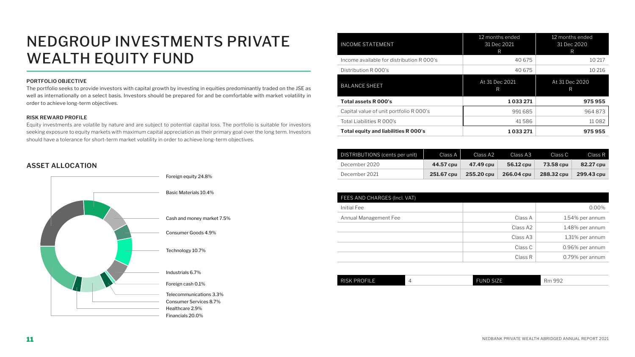# NEDGROUP INVESTMENTS PRIVATE WEALTH EQUITY FUND

### **PORTFOLIO OBJECTIVE**

The portfolio seeks to provide investors with capital growth by investing in equities predominantly traded on the JSE as well as internationally on a select basis. Investors should be prepared for and be comfortable with market volatility in order to achieve long-term objectives.

#### **RISK REWARD PROFILE**

Equity investments are volatile by nature and are subject to potential capital loss. The portfolio is suitable for investors seeking exposure to equity markets with maximum capital appreciation as their primary goal over the long term. Investors should have a tolerance for short-term market volatility in order to achieve long-term objectives.

| <b>INCOME STATEMENT</b>                   | 12 months ended<br>31 Dec 2021<br>R | 12 months ended<br>31 Dec 2020<br>R |
|-------------------------------------------|-------------------------------------|-------------------------------------|
| Income available for distribution R 000's | 40 675                              | 10 217                              |
| Distribution R 000's                      | 40 675                              | 10 216                              |
| <b>BALANCE SHEET</b>                      | At 31 Dec 2021<br>R                 | At 31 Dec 2020<br>R                 |
| <b>Total assets R 000's</b>               | 1033271                             | 975955                              |
| Capital value of unit portfolio R 000's   | 991685                              | 964873                              |
| Total Liabilities R 000's                 | 41586                               | 11082                               |
| Total equity and liabilities R 000's      | 1033271                             | 975955                              |

| DISTRIBUTIONS (cents per unit) | Class A    | LClass A21 | Class A3   | Class C          | Class R    |
|--------------------------------|------------|------------|------------|------------------|------------|
| December 2020                  | 44.57 cpu  | 47.49 cpu  | 56.12 cpu  | <b>73.58 cpu</b> | 82.27 cpu  |
| December 2021                  | 251.67 cpu | 255.20 cpu | 266.04 cpu | 288.32 cpu       | 299.43 cpu |

| FEES AND CHARGES (Incl. VAT) |          |                 |
|------------------------------|----------|-----------------|
| Initial Fee                  |          | 0.00%           |
| Annual Management Fee        | Class A  | 1.54% per annum |
|                              | Class A2 | 1.48% per annum |
|                              | Class A3 | 1,31% per annum |
|                              | Class C  | 0.96% per annum |
|                              | Class R  | 0.79% per annum |

| <b>RISK PROFILE</b> |  | FUND SIZE <sup>I</sup> | $\sim$ $\sim$ $\sim$<br>$\overline{\phantom{a}}$<br>uu -<br><b>NILL</b><br>- - - - - - |
|---------------------|--|------------------------|----------------------------------------------------------------------------------------|
|---------------------|--|------------------------|----------------------------------------------------------------------------------------|









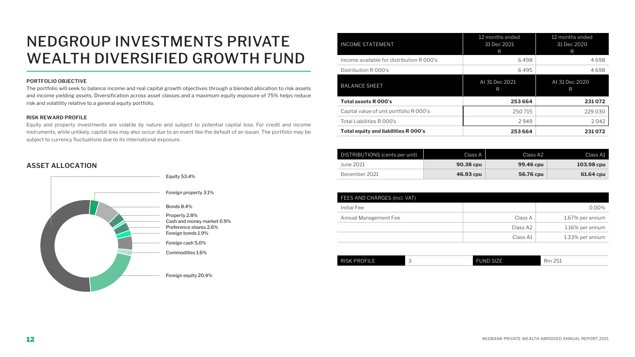# NEDGROUP INVESTMENTS PRIVATE WEALTH DIVERSIFIED GROWTH FUND

### **PORTFOLIO OBJECTIVE**

The portfolio will seek to balance income and real capital growth objectives through a blended allocation to risk assets and income yielding assets. Diversification across asset classes and a maximum equity exposure of 75% helps reduce risk and volatility relative to a general equity portfolio.

#### **RISK REWARD PROFILE**

Equity and property investments are volatile by nature and subject to potential capital loss. For credit and income instruments, while unlikely, capital loss may also occur due to an event like the default of an issuer. The portfolio may be subject to currency fluctuations due to its international exposure.

| Total equity and liabilities R 000's      | 253 664                             | 231072                              |
|-------------------------------------------|-------------------------------------|-------------------------------------|
| Total Liabilities R 000's                 | 2949                                | 2042                                |
| Capital value of unit portfolio R 000's   | 250 715                             | 229 030                             |
| <b>Total assets R 000's</b>               | 253 664                             | 231072                              |
| <b>BALANCE SHEET</b>                      | At 31 Dec 2021<br>R                 | At 31 Dec 2020<br>R                 |
| Distribution R 000's                      | 6495                                | 4698                                |
| Income available for distribution R 000's | 6498                                | 4698                                |
| <b>INCOME STATEMENT</b>                   | 12 months ended<br>31 Dec 2021<br>R | 12 months ended<br>31 Dec 2020<br>R |

| DISTRIBUTIONS (cents per unit) | Class A          | Class A2         | Class A1   |
|--------------------------------|------------------|------------------|------------|
| June 2021                      | <b>90.38 cpu</b> | <b>99.46 cpu</b> | 103.98 cpu |
| December 2021                  | 46.93 cpu        | 56.76 cpu        | 61.64 cpu  |

|          | $0.00\%$           |
|----------|--------------------|
| Class A  | 1.67% per annum    |
| Class A2 | $1.16\%$ per annum |
| Class A1 | 1.33% per annum    |
|          |                    |

| <b>PROFILE</b><br>$\sim$ $\sim$<br>$\sim$ $-$<br>П<br>R <sup>I</sup><br>71<br>'NL<br>5K.<br>⊣m<br>ы.<br>∽ |  |
|-----------------------------------------------------------------------------------------------------------|--|
|-----------------------------------------------------------------------------------------------------------|--|









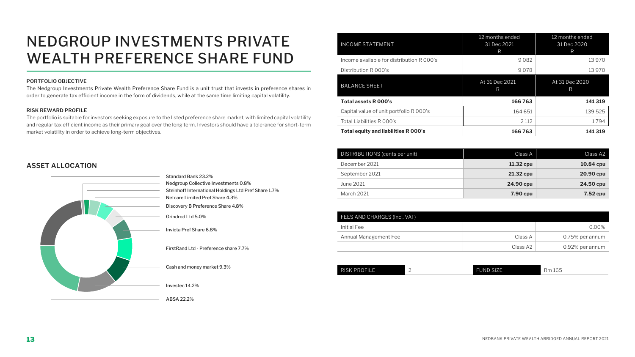# NEDGROUP INVESTMENTS PRIVATE WEALTH PREFERENCE SHARE FUND

### **PORTFOLIO OBJECTIVE**

The Nedgroup Investments Private Wealth Preference Share Fund is a unit trust that invests in preference shares in order to generate tax efficient income in the form of dividends, while at the same time limiting capital volatility.

### **RISK REWARD PROFILE**

The portfolio is suitable for investors seeking exposure to the listed preference share market, with limited capital volatility and regular tax efficient income as their primary goal over the long term. Investors should have a tolerance for short-term market volatility in order to achieve long-term objectives.

### **ASSET ALLOCATION**

DISTRIBUTIONS (cents per unit)  $\overline{a}$  and  $\overline{b}$  class A  $\overline{c}$  class A2 **December 2021 10.84 cpu 11.32 cpu 11.32 cpu 10.84 cpu** September 2021 **21.32 cpu 20.90 cpu** June 2021 **24.90 cpu 24.50 cpu** March 2021 **7.90 cpu 7.52 cpu**

| Total Liabilities R 000's                 | 2 1 1 2                             | 1794                                |
|-------------------------------------------|-------------------------------------|-------------------------------------|
| Capital value of unit portfolio R 000's   | 164 651                             | 139 525                             |
| Total assets R 000's                      | 166763                              | 141 319                             |
| <b>BALANCE SHEET</b>                      | At 31 Dec 2021<br>R                 | At 31 Dec 2020<br>R                 |
| Distribution R 000's                      | 9078                                | 13 970                              |
| Income available for distribution R 000's | 9082                                | 13 970                              |
| <b>INCOME STATEMENT</b>                   | 12 months ended<br>31 Dec 2021<br>R | 12 months ended<br>31 Dec 2020<br>R |

| FEES AND CHARGES (Incl. VAT) |          |                 |
|------------------------------|----------|-----------------|
| Initial Fee                  |          | $0.00\%$        |
| Annual Management Fee        | Class A  | 0.75% per annum |
|                              | Class A2 | 0.92% per annum |

| <b>RISK PROFILE</b><br><b>FUND SIZE</b><br>$\sim$ $-$<br>Dm<br>1 165 |  |  |  |  |
|----------------------------------------------------------------------|--|--|--|--|
|----------------------------------------------------------------------|--|--|--|--|







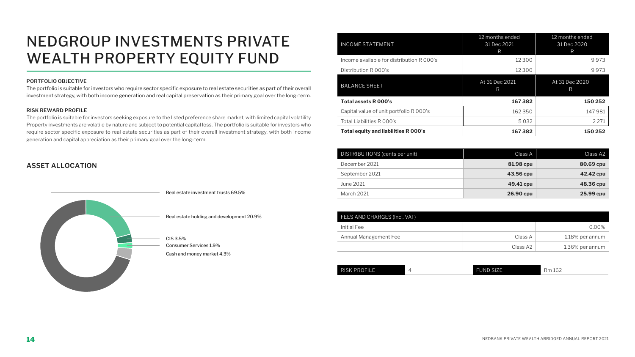# NEDGROUP INVESTMENTS PRIVATE WEALTH PROPERTY EQUITY FUND

### **PORTFOLIO OBJECTIVE**

The portfolio is suitable for investors who require sector specific exposure to real estate securities as part of their overall investment strategy, with both income generation and real capital preservation as their primary goal over the long-term.

#### **RISK REWARD PROFILE**

The portfolio is suitable for investors seeking exposure to the listed preference share market, with limited capital volatility Property investments are volatile by nature and subject to potential capital loss. The portfolio is suitable for investors who require sector specific exposure to real estate securities as part of their overall investment strategy, with both income generation and capital appreciation as their primary goal over the long-term.

| <b>INCOME STATEMENT</b>                   | 12 months ended<br>31 Dec 2021<br>R | 12 months ended<br>31 Dec 2020<br>R |
|-------------------------------------------|-------------------------------------|-------------------------------------|
| Income available for distribution R 000's | 12 300                              | 9973                                |
| Distribution R 000's                      | 12 3 0 0                            | 9973                                |
| <b>BALANCE SHEET</b>                      | At 31 Dec 2021<br>R                 | At 31 Dec 2020<br>$\mathsf{R}$      |
| Total assets R 000's                      | 167382                              | 150 252                             |
| Capital value of unit portfolio R 000's   | 162 350                             | 147981                              |
| Total Liabilities R 000's                 | 5032                                | 2 2 7 1                             |
| Total equity and liabilities R 000's      | 167382                              | 150 252                             |

| <b>FEES AND CHARGES (Incl. VAT)</b> |          |                 |
|-------------------------------------|----------|-----------------|
| Initial Fee                         |          | $0.00\%$        |
| Annual Management Fee               | Class A  | 1.18% per annum |
|                                     | Class A2 | 1.36% per annum |

| RISK PROFILE |  | FUND SIZE | $\sim$ $\sim$<br>$\overline{\phantom{0}}$<br>Кm<br>. .<br>⊥∪∠ |
|--------------|--|-----------|---------------------------------------------------------------|
|--------------|--|-----------|---------------------------------------------------------------|

|                                     | DISTRIBUTIONS (cents per unit) | Class A          | Class A2  |
|-------------------------------------|--------------------------------|------------------|-----------|
|                                     | December 2021                  | <b>81.98 cpu</b> | 80.69 cpu |
|                                     | September 2021                 | 43.56 cpu        | 42.42 cpu |
|                                     | <b>June 2021</b>               | 49.41 cpu        | 48.36 cpu |
| Real estate investment trusts 69.5% | <b>March 2021</b>              | 26.90 cpu        | 25.99 cpu |